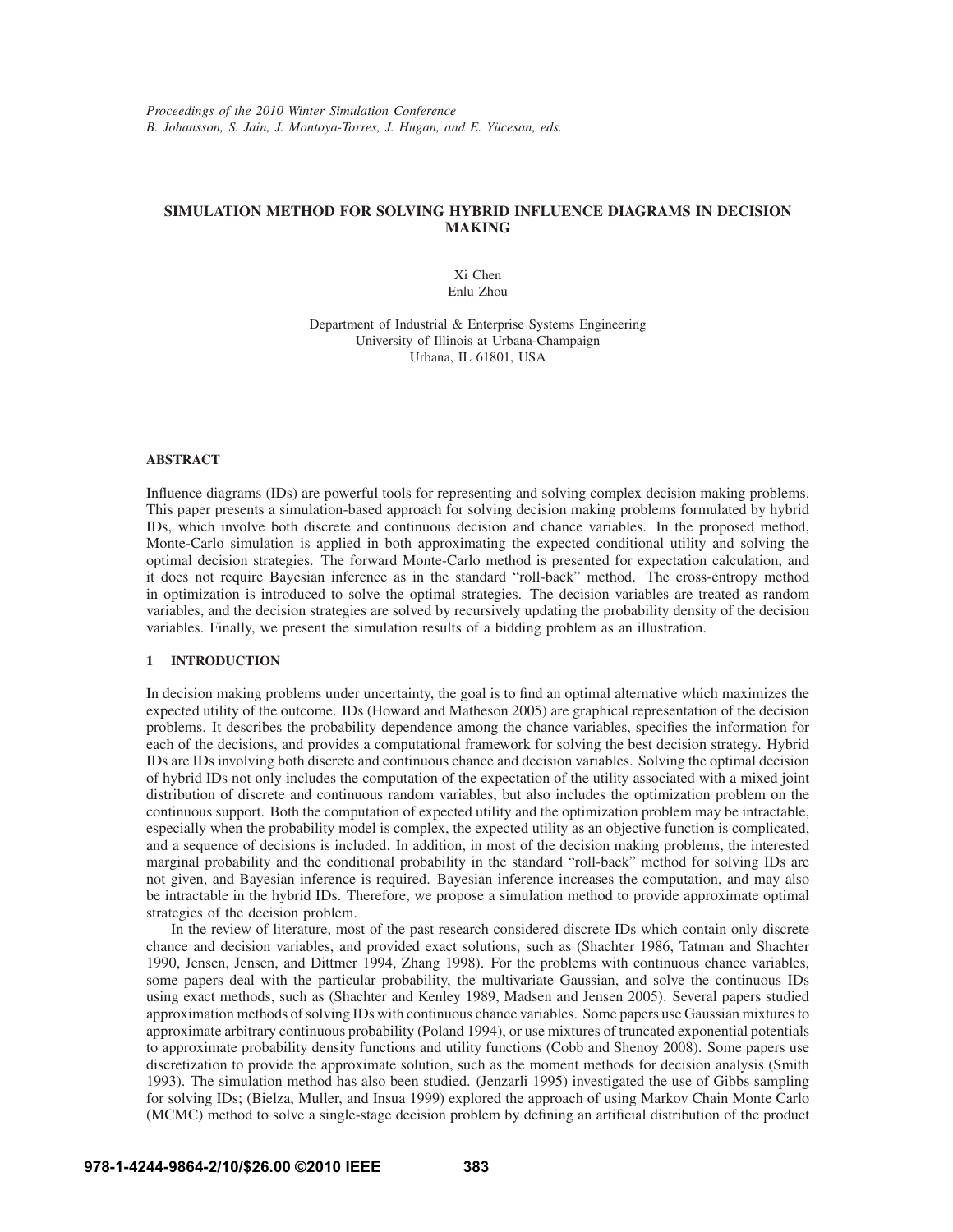## **SIMULATION METHOD FOR SOLVING HYBRID INFLUENCE DIAGRAMS IN DECISION MAKING**

Xi Chen Enlu Zhou

Department of Industrial & Enterprise Systems Engineering University of Illinois at Urbana-Champaign Urbana, IL 61801, USA

## **ABSTRACT**

Influence diagrams (IDs) are powerful tools for representing and solving complex decision making problems. This paper presents a simulation-based approach for solving decision making problems formulated by hybrid IDs, which involve both discrete and continuous decision and chance variables. In the proposed method, Monte-Carlo simulation is applied in both approximating the expected conditional utility and solving the optimal decision strategies. The forward Monte-Carlo method is presented for expectation calculation, and it does not require Bayesian inference as in the standard "roll-back" method. The cross-entropy method in optimization is introduced to solve the optimal strategies. The decision variables are treated as random variables, and the decision strategies are solved by recursively updating the probability density of the decision variables. Finally, we present the simulation results of a bidding problem as an illustration.

#### **1 INTRODUCTION**

In decision making problems under uncertainty, the goal is to find an optimal alternative which maximizes the expected utility of the outcome. IDs (Howard and Matheson 2005) are graphical representation of the decision problems. It describes the probability dependence among the chance variables, specifies the information for each of the decisions, and provides a computational framework for solving the best decision strategy. Hybrid IDs are IDs involving both discrete and continuous chance and decision variables. Solving the optimal decision of hybrid IDs not only includes the computation of the expectation of the utility associated with a mixed joint distribution of discrete and continuous random variables, but also includes the optimization problem on the continuous support. Both the computation of expected utility and the optimization problem may be intractable, especially when the probability model is complex, the expected utility as an objective function is complicated, and a sequence of decisions is included. In addition, in most of the decision making problems, the interested marginal probability and the conditional probability in the standard "roll-back" method for solving IDs are not given, and Bayesian inference is required. Bayesian inference increases the computation, and may also be intractable in the hybrid IDs. Therefore, we propose a simulation method to provide approximate optimal strategies of the decision problem.

In the review of literature, most of the past research considered discrete IDs which contain only discrete chance and decision variables, and provided exact solutions, such as (Shachter 1986, Tatman and Shachter 1990, Jensen, Jensen, and Dittmer 1994, Zhang 1998). For the problems with continuous chance variables, some papers deal with the particular probability, the multivariate Gaussian, and solve the continuous IDs using exact methods, such as (Shachter and Kenley 1989, Madsen and Jensen 2005). Several papers studied approximation methods of solving IDs with continuous chance variables. Some papers use Gaussian mixtures to approximate arbitrary continuous probability (Poland 1994), or use mixtures of truncated exponential potentials to approximate probability density functions and utility functions (Cobb and Shenoy 2008). Some papers use discretization to provide the approximate solution, such as the moment methods for decision analysis (Smith 1993). The simulation method has also been studied. (Jenzarli 1995) investigated the use of Gibbs sampling for solving IDs; (Bielza, Muller, and Insua 1999) explored the approach of using Markov Chain Monte Carlo (MCMC) method to solve a single-stage decision problem by defining an artificial distribution of the product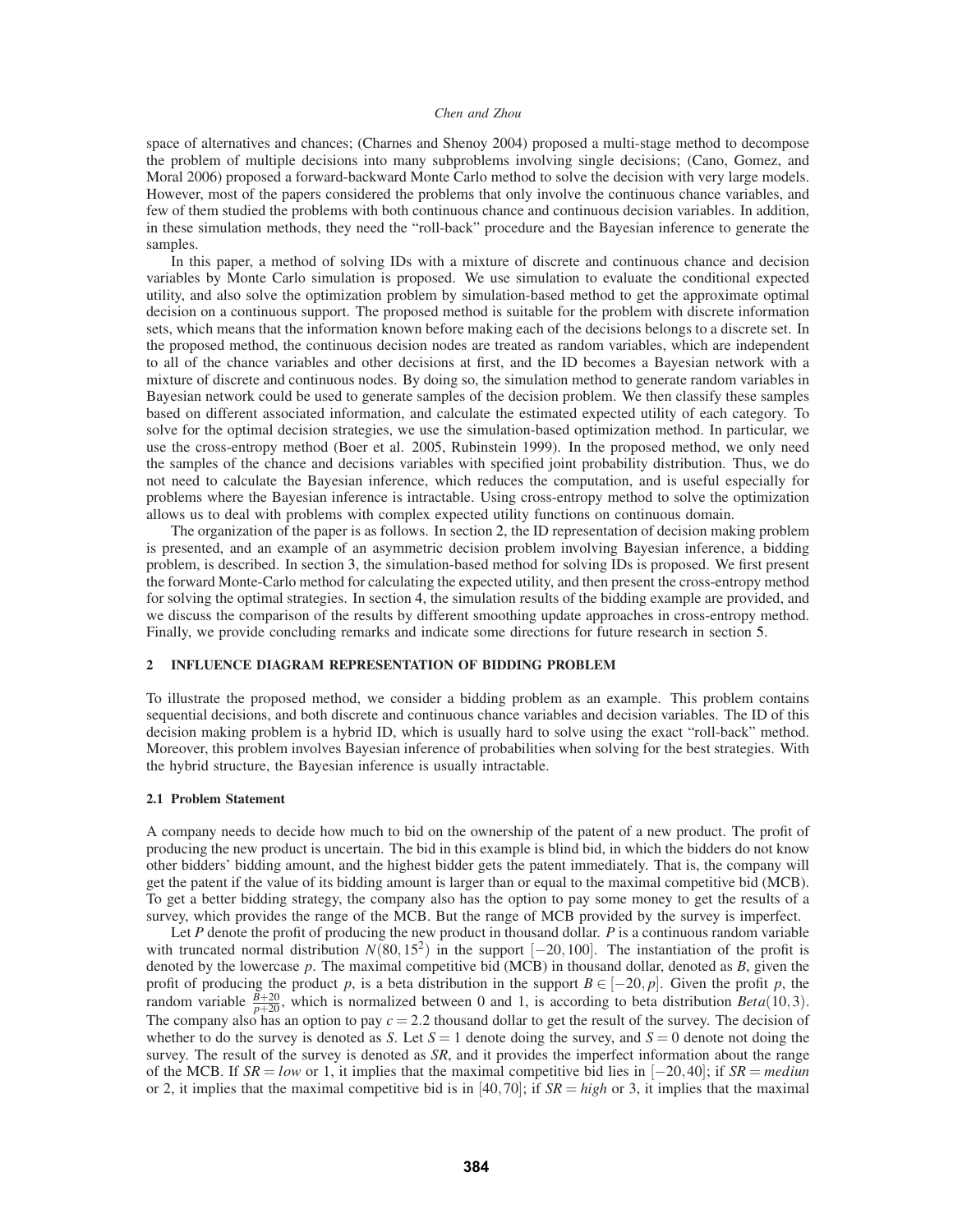space of alternatives and chances; (Charnes and Shenoy 2004) proposed a multi-stage method to decompose the problem of multiple decisions into many subproblems involving single decisions; (Cano, Gomez, and Moral 2006) proposed a forward-backward Monte Carlo method to solve the decision with very large models. However, most of the papers considered the problems that only involve the continuous chance variables, and few of them studied the problems with both continuous chance and continuous decision variables. In addition, in these simulation methods, they need the "roll-back" procedure and the Bayesian inference to generate the samples.

In this paper, a method of solving IDs with a mixture of discrete and continuous chance and decision variables by Monte Carlo simulation is proposed. We use simulation to evaluate the conditional expected utility, and also solve the optimization problem by simulation-based method to get the approximate optimal decision on a continuous support. The proposed method is suitable for the problem with discrete information sets, which means that the information known before making each of the decisions belongs to a discrete set. In the proposed method, the continuous decision nodes are treated as random variables, which are independent to all of the chance variables and other decisions at first, and the ID becomes a Bayesian network with a mixture of discrete and continuous nodes. By doing so, the simulation method to generate random variables in Bayesian network could be used to generate samples of the decision problem. We then classify these samples based on different associated information, and calculate the estimated expected utility of each category. To solve for the optimal decision strategies, we use the simulation-based optimization method. In particular, we use the cross-entropy method (Boer et al. 2005, Rubinstein 1999). In the proposed method, we only need the samples of the chance and decisions variables with specified joint probability distribution. Thus, we do not need to calculate the Bayesian inference, which reduces the computation, and is useful especially for problems where the Bayesian inference is intractable. Using cross-entropy method to solve the optimization allows us to deal with problems with complex expected utility functions on continuous domain.

The organization of the paper is as follows. In section 2, the ID representation of decision making problem is presented, and an example of an asymmetric decision problem involving Bayesian inference, a bidding problem, is described. In section 3, the simulation-based method for solving IDs is proposed. We first present the forward Monte-Carlo method for calculating the expected utility, and then present the cross-entropy method for solving the optimal strategies. In section 4, the simulation results of the bidding example are provided, and we discuss the comparison of the results by different smoothing update approaches in cross-entropy method. Finally, we provide concluding remarks and indicate some directions for future research in section 5.

## **2 INFLUENCE DIAGRAM REPRESENTATION OF BIDDING PROBLEM**

To illustrate the proposed method, we consider a bidding problem as an example. This problem contains sequential decisions, and both discrete and continuous chance variables and decision variables. The ID of this decision making problem is a hybrid ID, which is usually hard to solve using the exact "roll-back" method. Moreover, this problem involves Bayesian inference of probabilities when solving for the best strategies. With the hybrid structure, the Bayesian inference is usually intractable.

#### **2.1 Problem Statement**

A company needs to decide how much to bid on the ownership of the patent of a new product. The profit of producing the new product is uncertain. The bid in this example is blind bid, in which the bidders do not know other bidders' bidding amount, and the highest bidder gets the patent immediately. That is, the company will get the patent if the value of its bidding amount is larger than or equal to the maximal competitive bid (MCB). To get a better bidding strategy, the company also has the option to pay some money to get the results of a survey, which provides the range of the MCB. But the range of MCB provided by the survey is imperfect.

Let *P* denote the profit of producing the new product in thousand dollar. *P* is a continuous random variable with truncated normal distribution *N*(80,152) in the support [−20,100]. The instantiation of the profit is denoted by the lowercase *p*. The maximal competitive bid (MCB) in thousand dollar, denoted as *B*, given the profit of producing the product *p*, is a beta distribution in the support  $B \in [-20, p]$ . Given the profit *p*, the random variable  $\frac{B+20}{p+20}$ , which is normalized between 0 and 1, is according to beta distribution *Beta*(10,3). The company also has an option to pay  $c = 2.2$  thousand dollar to get the result of the survey. The decision of whether to do the survey is denoted as *S*. Let  $S = 1$  denote doing the survey, and  $S = 0$  denote not doing the survey. The result of the survey is denoted as *SR*, and it provides the imperfect information about the range of the MCB. If *SR* = *low* or 1, it implies that the maximal competitive bid lies in [−20,40]; if *SR* = *mediun* or 2, it implies that the maximal competitive bid is in [40,70]; if  $SR = high$  or 3, it implies that the maximal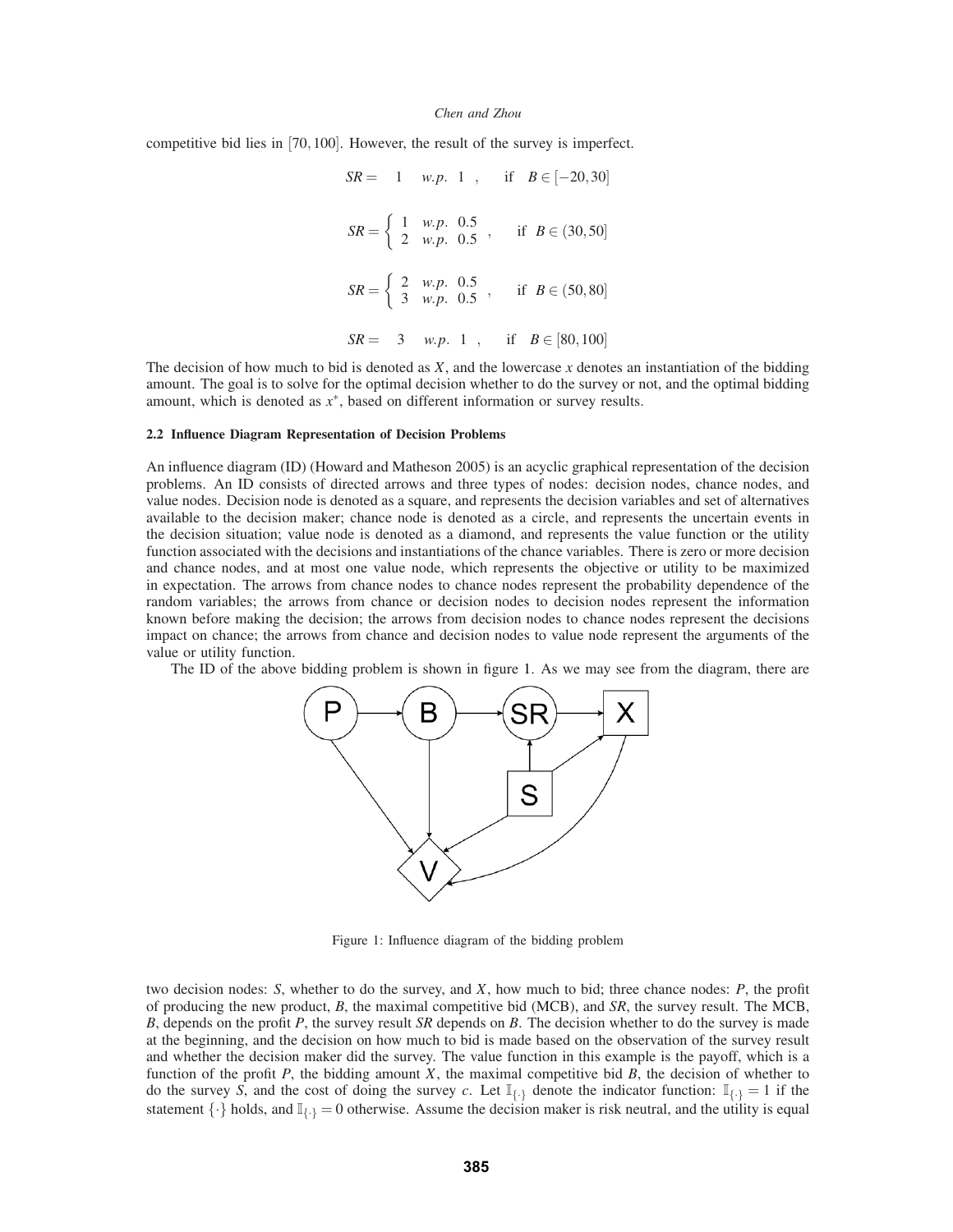competitive bid lies in [70,100]. However, the result of the survey is imperfect.

*SR* = 1 *w.p.* 1, if  $B \in [-20, 30]$  $SR = \begin{cases} 1 & w.p. \quad 0.5 \\ 2 & w.p. \quad 0.5 \end{cases}$ , if  $B \in (30, 50]$  $SR = \begin{cases} 2 & w.p. \ \ 0.5 \\ 3 & w.p. \ \ 0.5 \end{cases}$ , if  $B \in (50, 80]$ *SR* = 3 *w.p.* 1, if  $B \in [80, 100]$ 

The decision of how much to bid is denoted as  $X$ , and the lowercase  $x$  denotes an instantiation of the bidding amount. The goal is to solve for the optimal decision whether to do the survey or not, and the optimal bidding amount, which is denoted as *x*∗, based on different information or survey results.

## **2.2 Influence Diagram Representation of Decision Problems**

An influence diagram (ID) (Howard and Matheson 2005) is an acyclic graphical representation of the decision problems. An ID consists of directed arrows and three types of nodes: decision nodes, chance nodes, and value nodes. Decision node is denoted as a square, and represents the decision variables and set of alternatives available to the decision maker; chance node is denoted as a circle, and represents the uncertain events in the decision situation; value node is denoted as a diamond, and represents the value function or the utility function associated with the decisions and instantiations of the chance variables. There is zero or more decision and chance nodes, and at most one value node, which represents the objective or utility to be maximized in expectation. The arrows from chance nodes to chance nodes represent the probability dependence of the random variables; the arrows from chance or decision nodes to decision nodes represent the information known before making the decision; the arrows from decision nodes to chance nodes represent the decisions impact on chance; the arrows from chance and decision nodes to value node represent the arguments of the value or utility function.

The ID of the above bidding problem is shown in figure 1. As we may see from the diagram, there are



Figure 1: Influence diagram of the bidding problem

two decision nodes: *S*, whether to do the survey, and *X*, how much to bid; three chance nodes: *P*, the profit of producing the new product, *B*, the maximal competitive bid (MCB), and *SR*, the survey result. The MCB, *B*, depends on the profit *P*, the survey result *SR* depends on *B*. The decision whether to do the survey is made at the beginning, and the decision on how much to bid is made based on the observation of the survey result and whether the decision maker did the survey. The value function in this example is the payoff, which is a function of the profit *P*, the bidding amount *X*, the maximal competitive bid *B*, the decision of whether to do the survey *S*, and the cost of doing the survey *c*. Let  $\mathbb{I}_{\{\cdot\}}$  denote the indicator function:  $\mathbb{I}_{\{\cdot\}} = 1$  if the statement  $\{\cdot\}$  holds, and  $\mathbb{I}_{\{\cdot\}} = 0$  otherwise. Assume the decision maker is risk neutral, and the utility is equal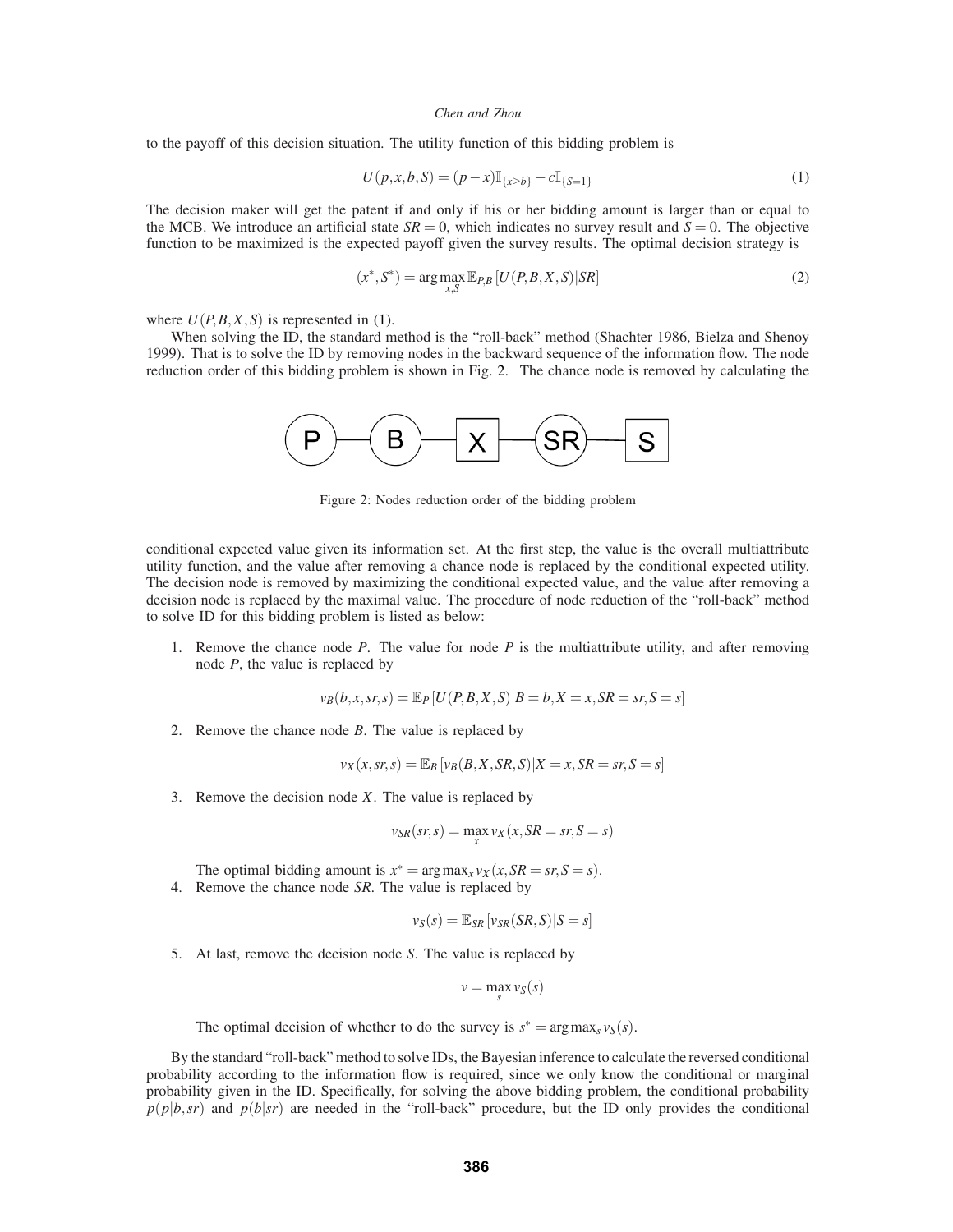to the payoff of this decision situation. The utility function of this bidding problem is

$$
U(p, x, b, S) = (p - x) \mathbb{I}_{\{x \ge b\}} - c \mathbb{I}_{\{S = 1\}}
$$
\n(1)

The decision maker will get the patent if and only if his or her bidding amount is larger than or equal to the MCB. We introduce an artificial state  $SR = 0$ , which indicates no survey result and  $S = 0$ . The objective function to be maximized is the expected payoff given the survey results. The optimal decision strategy is

$$
(x^*, S^*) = \arg\max_{x, S} \mathbb{E}_{P,B} \left[ U(P, B, X, S) | SR \right] \tag{2}
$$

where  $U(P, B, X, S)$  is represented in (1).

When solving the ID, the standard method is the "roll-back" method (Shachter 1986, Bielza and Shenoy 1999). That is to solve the ID by removing nodes in the backward sequence of the information flow. The node reduction order of this bidding problem is shown in Fig. 2. The chance node is removed by calculating the



Figure 2: Nodes reduction order of the bidding problem

conditional expected value given its information set. At the first step, the value is the overall multiattribute utility function, and the value after removing a chance node is replaced by the conditional expected utility. The decision node is removed by maximizing the conditional expected value, and the value after removing a decision node is replaced by the maximal value. The procedure of node reduction of the "roll-back" method to solve ID for this bidding problem is listed as below:

1. Remove the chance node *P*. The value for node *P* is the multiattribute utility, and after removing node *P*, the value is replaced by

$$
v_B(b, x, sr, s) = \mathbb{E}_P[U(P, B, X, S)|B = b, X = x, SR = sr, S = s]
$$

2. Remove the chance node *B*. The value is replaced by

$$
v_X(x, sr, s) = \mathbb{E}_B[v_B(B, X, SR, S)|X = x, SR = sr, S = s]
$$

3. Remove the decision node *X*. The value is replaced by

$$
v_{SR}(sr,s) = \max_{x} v_X(x, SR = sr, S = s)
$$

The optimal bidding amount is  $x^* = \arg \max_x v_X(x, SR = sr, S = s)$ . 4. Remove the chance node *SR*. The value is replaced by

$$
v_S(s) = \mathbb{E}_{SR} [v_{SR}(SR, S) | S = s]
$$

5. At last, remove the decision node *S*. The value is replaced by

$$
v = \max_{s} v_{S}(s)
$$

The optimal decision of whether to do the survey is  $s^* = \arg \max_{s} v_S(s)$ .

By the standard "roll-back" method to solve IDs, the Bayesian inference to calculate the reversed conditional probability according to the information flow is required, since we only know the conditional or marginal probability given in the ID. Specifically, for solving the above bidding problem, the conditional probability  $p(p|b,sr)$  and  $p(b|sr)$  are needed in the "roll-back" procedure, but the ID only provides the conditional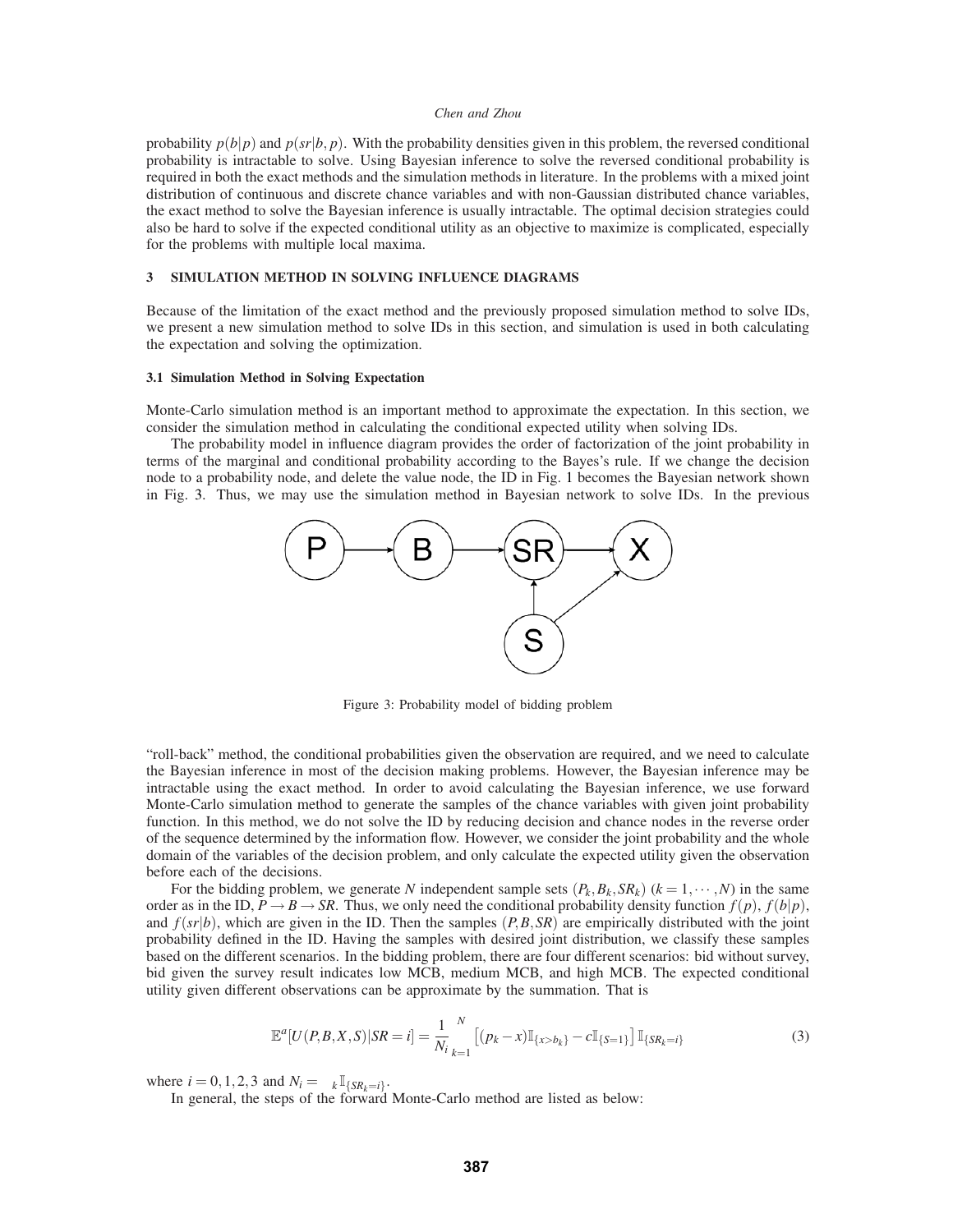probability  $p(b|p)$  and  $p(sr|b, p)$ . With the probability densities given in this problem, the reversed conditional probability is intractable to solve. Using Bayesian inference to solve the reversed conditional probability is required in both the exact methods and the simulation methods in literature. In the problems with a mixed joint distribution of continuous and discrete chance variables and with non-Gaussian distributed chance variables, the exact method to solve the Bayesian inference is usually intractable. The optimal decision strategies could also be hard to solve if the expected conditional utility as an objective to maximize is complicated, especially for the problems with multiple local maxima.

## **3 SIMULATION METHOD IN SOLVING INFLUENCE DIAGRAMS**

Because of the limitation of the exact method and the previously proposed simulation method to solve IDs, we present a new simulation method to solve IDs in this section, and simulation is used in both calculating the expectation and solving the optimization.

### **3.1 Simulation Method in Solving Expectation**

Monte-Carlo simulation method is an important method to approximate the expectation. In this section, we consider the simulation method in calculating the conditional expected utility when solving IDs.

The probability model in influence diagram provides the order of factorization of the joint probability in terms of the marginal and conditional probability according to the Bayes's rule. If we change the decision node to a probability node, and delete the value node, the ID in Fig. 1 becomes the Bayesian network shown in Fig. 3. Thus, we may use the simulation method in Bayesian network to solve IDs. In the previous



Figure 3: Probability model of bidding problem

"roll-back" method, the conditional probabilities given the observation are required, and we need to calculate the Bayesian inference in most of the decision making problems. However, the Bayesian inference may be intractable using the exact method. In order to avoid calculating the Bayesian inference, we use forward Monte-Carlo simulation method to generate the samples of the chance variables with given joint probability function. In this method, we do not solve the ID by reducing decision and chance nodes in the reverse order of the sequence determined by the information flow. However, we consider the joint probability and the whole domain of the variables of the decision problem, and only calculate the expected utility given the observation before each of the decisions.

For the bidding problem, we generate *N* independent sample sets  $(P_k, B_k, SR_k)$  ( $k = 1, \dots, N$ ) in the same order as in the ID,  $P \rightarrow B \rightarrow SR$ . Thus, we only need the conditional probability density function  $f(p)$ ,  $f(b|p)$ , and  $f(sr|b)$ , which are given in the ID. Then the samples  $(P, B, SR)$  are empirically distributed with the joint probability defined in the ID. Having the samples with desired joint distribution, we classify these samples based on the different scenarios. In the bidding problem, there are four different scenarios: bid without survey, bid given the survey result indicates low MCB, medium MCB, and high MCB. The expected conditional utility given different observations can be approximate by the summation. That is

$$
\mathbb{E}^{a}[U(P,B,X,S)|SR=i] = \frac{1}{N_i} \sum_{k=1}^{N} \left[ (p_k - x) \mathbb{I}_{\{x > b_k\}} - c \mathbb{I}_{\{S=1\}} \right] \mathbb{I}_{\{SR_k=i\}}
$$
(3)

where  $i = 0, 1, 2, 3$  and  $N_i = \sum_k \mathbb{I}_{\{SR_k = i\}}$ .

In general, the steps of the forward Monte-Carlo method are listed as below: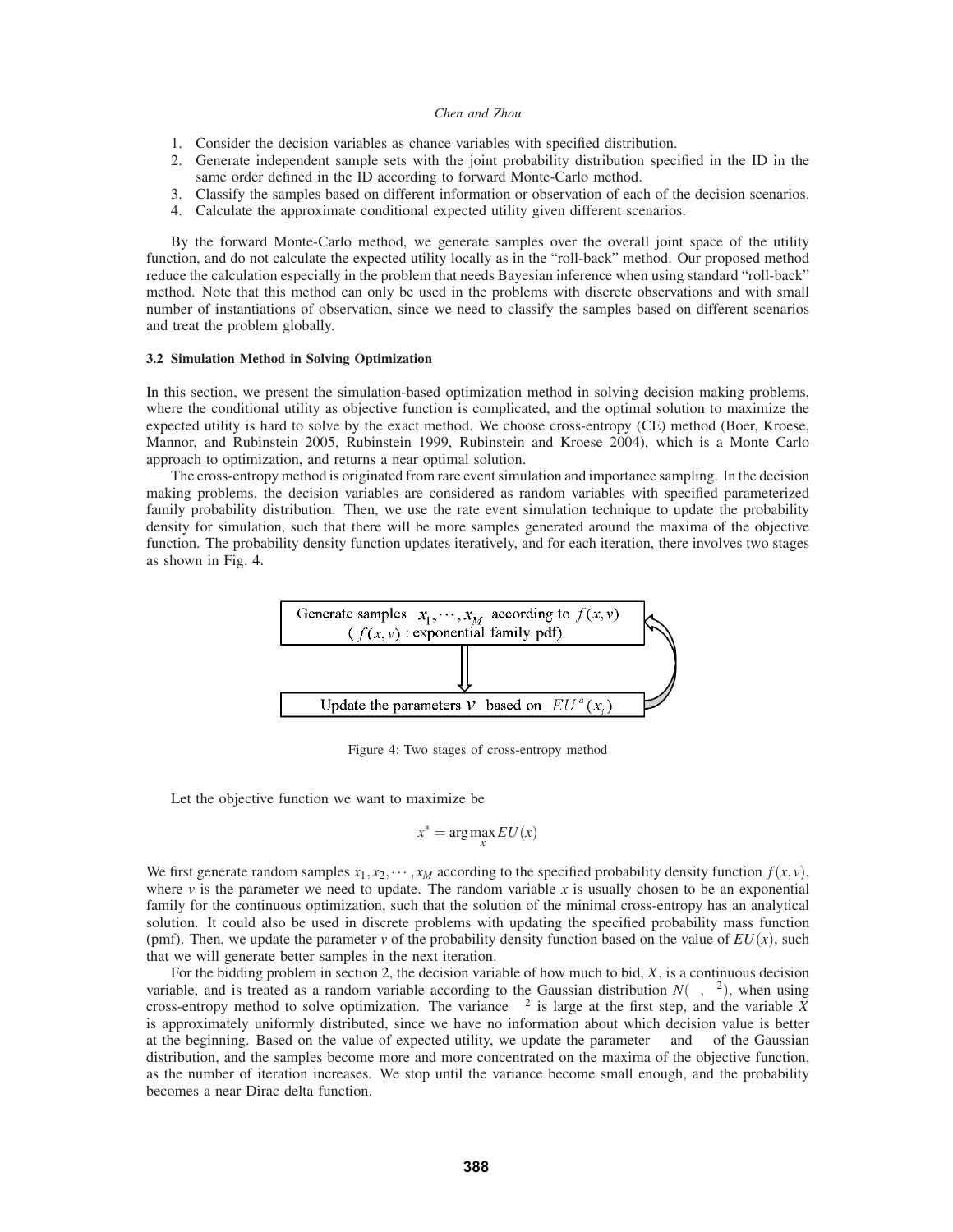- 1. Consider the decision variables as chance variables with specified distribution.
- 2. Generate independent sample sets with the joint probability distribution specified in the ID in the same order defined in the ID according to forward Monte-Carlo method.
- 3. Classify the samples based on different information or observation of each of the decision scenarios.
- 4. Calculate the approximate conditional expected utility given different scenarios.

By the forward Monte-Carlo method, we generate samples over the overall joint space of the utility function, and do not calculate the expected utility locally as in the "roll-back" method. Our proposed method reduce the calculation especially in the problem that needs Bayesian inference when using standard "roll-back" method. Note that this method can only be used in the problems with discrete observations and with small number of instantiations of observation, since we need to classify the samples based on different scenarios and treat the problem globally.

#### **3.2 Simulation Method in Solving Optimization**

In this section, we present the simulation-based optimization method in solving decision making problems, where the conditional utility as objective function is complicated, and the optimal solution to maximize the expected utility is hard to solve by the exact method. We choose cross-entropy (CE) method (Boer, Kroese, Mannor, and Rubinstein 2005, Rubinstein 1999, Rubinstein and Kroese 2004), which is a Monte Carlo approach to optimization, and returns a near optimal solution.

The cross-entropy method is originated from rare event simulation and importance sampling. In the decision making problems, the decision variables are considered as random variables with specified parameterized family probability distribution. Then, we use the rate event simulation technique to update the probability density for simulation, such that there will be more samples generated around the maxima of the objective function. The probability density function updates iteratively, and for each iteration, there involves two stages as shown in Fig. 4.



Figure 4: Two stages of cross-entropy method

Let the objective function we want to maximize be

$$
x^* = \arg\max_x EU(x)
$$

We first generate random samples  $x_1, x_2, \dots, x_M$  according to the specified probability density function  $f(x, v)$ , where  $\nu$  is the parameter we need to update. The random variable  $x$  is usually chosen to be an exponential family for the continuous optimization, such that the solution of the minimal cross-entropy has an analytical solution. It could also be used in discrete problems with updating the specified probability mass function (pmf). Then, we update the parameter *v* of the probability density function based on the value of  $EU(x)$ , such that we will generate better samples in the next iteration.

For the bidding problem in section 2, the decision variable of how much to bid, *X*, is a continuous decision variable, and is treated as a random variable according to the Gaussian distribution  $N(\mu, \sigma^2)$ , when using cross-entropy method to solve optimization. The variance  $\sigma^2$  is large at the first step, and the variable *X* is approximately uniformly distributed, since we have no information about which decision value is better at the beginning. Based on the value of expected utility, we update the parameter  $\mu$  and  $\sigma$  of the Gaussian distribution, and the samples become more and more concentrated on the maxima of the objective function, as the number of iteration increases. We stop until the variance become small enough, and the probability becomes a near Dirac delta function.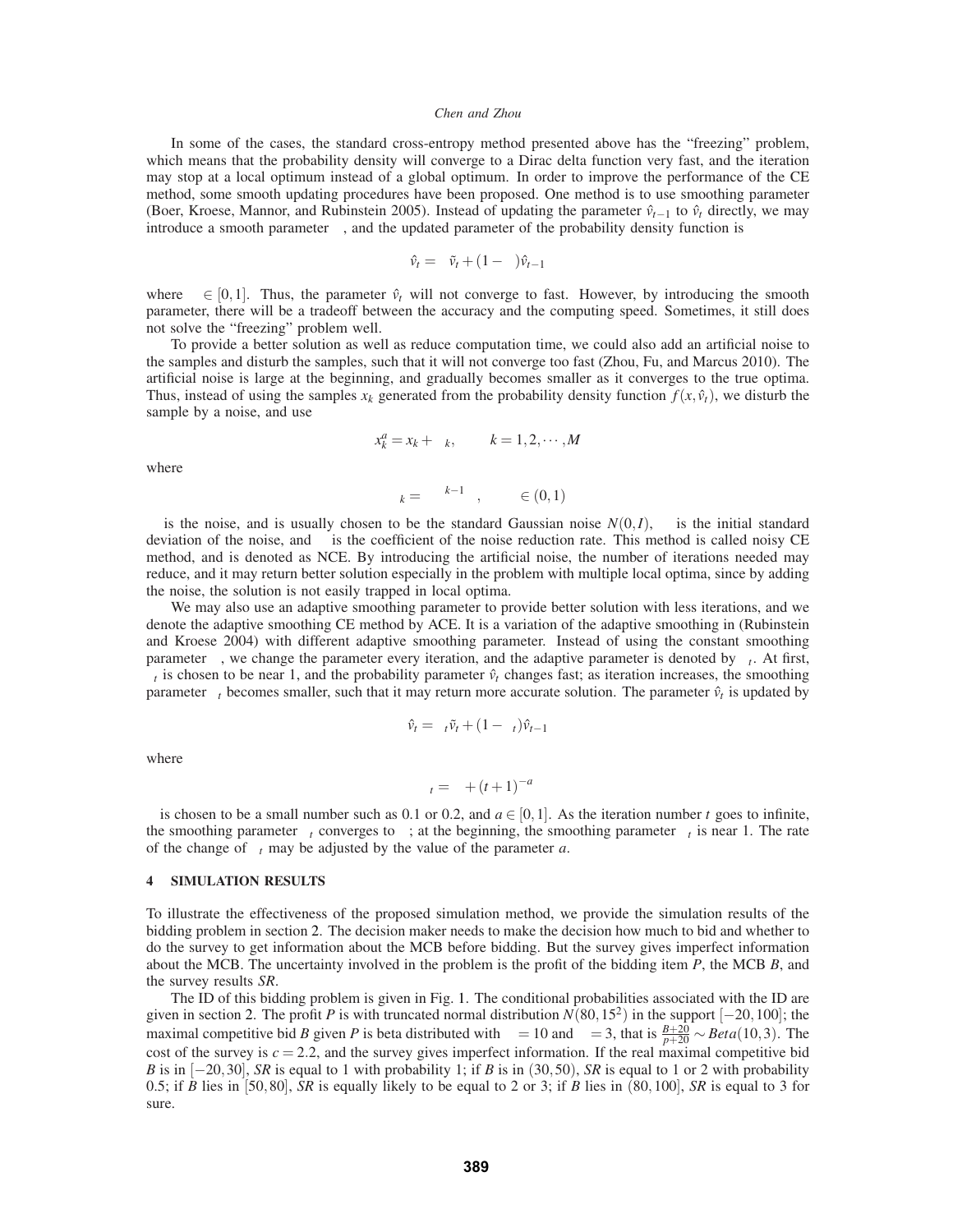In some of the cases, the standard cross-entropy method presented above has the "freezing" problem, which means that the probability density will converge to a Dirac delta function very fast, and the iteration may stop at a local optimum instead of a global optimum. In order to improve the performance of the CE method, some smooth updating procedures have been proposed. One method is to use smoothing parameter (Boer, Kroese, Mannor, and Rubinstein 2005). Instead of updating the parameter ˆ*vt*−<sup>1</sup> to ˆ*vt* directly, we may introduce a smooth parameter  $\theta$ , and the updated parameter of the probability density function is

$$
\hat{v}_t = \theta \tilde{v}_t + (1 - \theta) \hat{v}_{t-1}
$$

where  $\theta \in [0,1]$ . Thus, the parameter  $\hat{v}_t$  will not converge to fast. However, by introducing the smooth parameter, there will be a tradeoff between the accuracy and the computing speed. Sometimes, it still does not solve the "freezing" problem well.

To provide a better solution as well as reduce computation time, we could also add an artificial noise to the samples and disturb the samples, such that it will not converge too fast (Zhou, Fu, and Marcus 2010). The artificial noise is large at the beginning, and gradually becomes smaller as it converges to the true optima. Thus, instead of using the samples  $x_k$  generated from the probability density function  $f(x, \hat{v}_t)$ , we disturb the sample by a noise, and use

$$
x_k^a = x_k + \omega_k, \qquad k = 1, 2, \cdots, M
$$

where

$$
\omega_k = \alpha \beta^{k-1} \omega, \qquad \beta \in (0,1)
$$

ω is the noise, and is usually chosen to be the standard Gaussian noise  $N(0, I)$ , α is the initial standard deviation of the noise, and  $\beta$  is the coefficient of the noise reduction rate. This method is called noisy CE method, and is denoted as NCE. By introducing the artificial noise, the number of iterations needed may reduce, and it may return better solution especially in the problem with multiple local optima, since by adding the noise, the solution is not easily trapped in local optima.

We may also use an adaptive smoothing parameter to provide better solution with less iterations, and we denote the adaptive smoothing CE method by ACE. It is a variation of the adaptive smoothing in (Rubinstein and Kroese 2004) with different adaptive smoothing parameter. Instead of using the constant smoothing parameter  $\theta$ , we change the parameter every iteration, and the adaptive parameter is denoted by  $\theta_t$ . At first,  $\theta_t$  is chosen to be near 1, and the probability parameter  $\hat{v}_t$  changes fast; as iteration increases, the smoothing parameter  $\theta_t$  becomes smaller, such that it may return more accurate solution. The parameter  $\hat{v}_t$  is updated by

$$
\hat{v}_t = \theta_t \tilde{v}_t + (1 - \theta_t) \hat{v}_{t-1}
$$

where

$$
\theta_t = \theta + (t+1)^{-a}
$$

 $\theta$  is chosen to be a small number such as 0.1 or 0.2, and  $a \in [0,1]$ . As the iteration number *t* goes to infinite, the smoothing parameter  $\theta_t$  converges to  $\theta$ ; at the beginning, the smoothing parameter  $\theta_t$  is near 1. The rate of the change of  $\theta_t$  may be adjusted by the value of the parameter *a*.

## **4 SIMULATION RESULTS**

To illustrate the effectiveness of the proposed simulation method, we provide the simulation results of the bidding problem in section 2. The decision maker needs to make the decision how much to bid and whether to do the survey to get information about the MCB before bidding. But the survey gives imperfect information about the MCB. The uncertainty involved in the problem is the profit of the bidding item *P*, the MCB *B*, and the survey results *SR*.

The ID of this bidding problem is given in Fig. 1. The conditional probabilities associated with the ID are given in section 2. The profit *P* is with truncated normal distribution  $N(80, 15^2)$  in the support [−20,100]; the maximal competitive bid *B* given *P* is beta distributed with  $\alpha = 10$  and  $\beta = 3$ , that is  $\frac{B+20}{p+20} \sim Beta(10,3)$ . The cost of the survey is  $c = 2.2$ , and the survey gives imperfect information. If the real maximal competitive bid *B* is in [−20,30], *SR* is equal to 1 with probability 1; if *B* is in (30,50), *SR* is equal to 1 or 2 with probability 0.5; if *B* lies in [50,80], *SR* is equally likely to be equal to 2 or 3; if *B* lies in  $(80,100)$ , *SR* is equal to 3 for sure.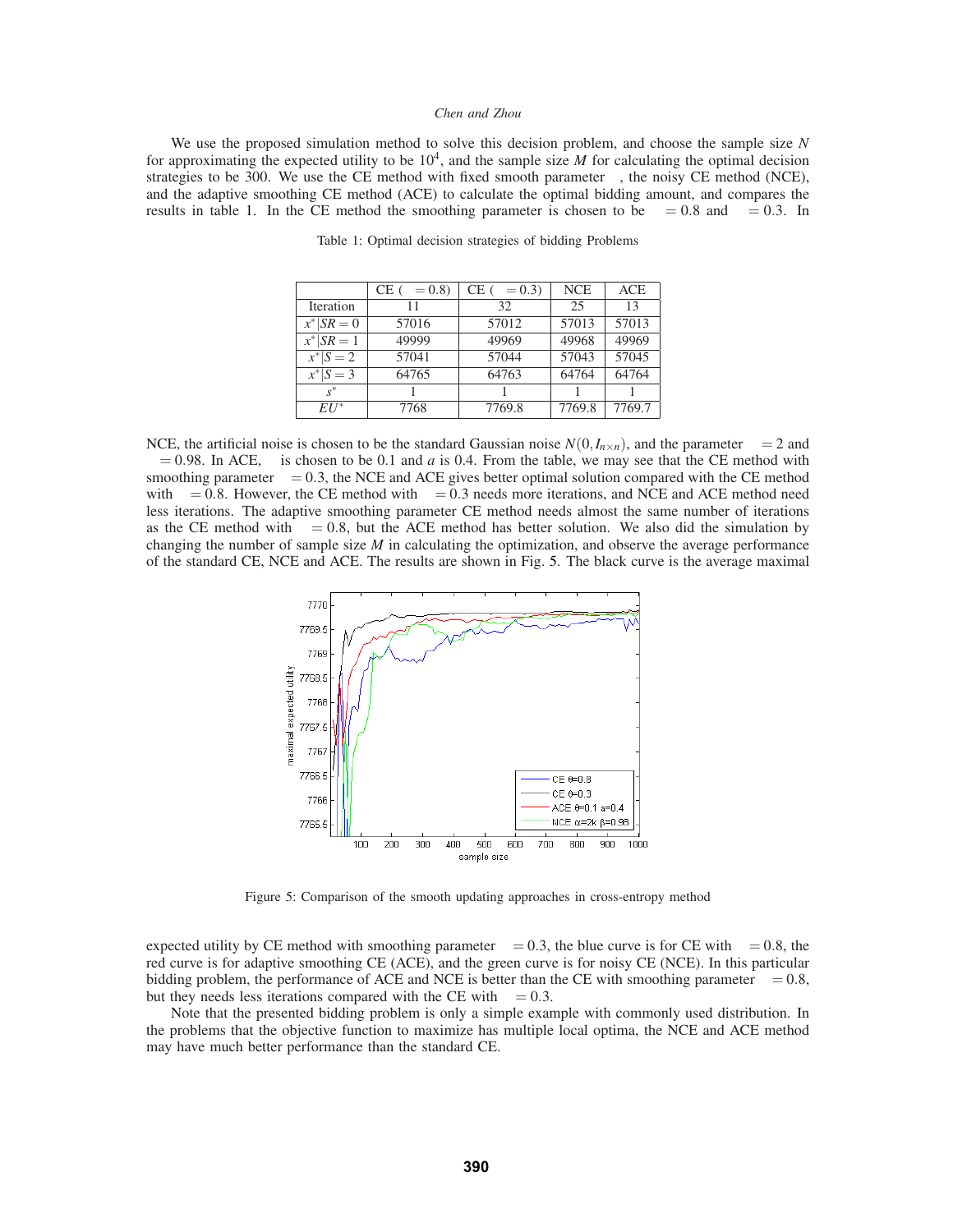We use the proposed simulation method to solve this decision problem, and choose the sample size *N* for approximating the expected utility to be  $10<sup>4</sup>$ , and the sample size *M* for calculating the optimal decision strategies to be 300. We use the CE method with fixed smooth parameter  $\theta$ , the noisy CE method (NCE), and the adaptive smoothing CE method (ACE) to calculate the optimal bidding amount, and compares the results in table 1. In the CE method the smoothing parameter is chosen to be  $\theta = 0.8$  and  $\theta = 0.3$ . In

|                 | CE $(\theta = 0.8)$ | CE $(\theta = 0.3)$ | <b>NCE</b> | ACE    |
|-----------------|---------------------|---------------------|------------|--------|
| Iteration       | 11                  | 32                  | 25         | 13     |
| $x^*$ $SR = 0$  | 57016               | 57012               | 57013      | 57013  |
| $x^*$ $ SR = 1$ | 49999               | 49969               | 49968      | 49969  |
| $x^*$ $S = 2$   | 57041               | 57044               | 57043      | 57045  |
| $x^*$ $S = 3$   | 64765               | 64763               | 64764      | 64764  |
| $\mathbf{S}^*$  |                     |                     |            |        |
| $EI^*$          | 7768                | 7769.8              | 7769.8     | 7769.7 |

Table 1: Optimal decision strategies of bidding Problems

NCE, the artificial noise is chosen to be the standard Gaussian noise  $N(0, I_{n \times n})$ , and the parameter  $\alpha = 2$  and  $\beta = 0.98$ . In ACE,  $\theta$  is chosen to be 0.1 and *a* is 0.4. From the table, we may see that the CE method with smoothing parameter  $\theta = 0.3$ , the NCE and ACE gives better optimal solution compared with the CE method with  $\theta = 0.8$ . However, the CE method with  $\theta = 0.3$  needs more iterations, and NCE and ACE method need less iterations. The adaptive smoothing parameter CE method needs almost the same number of iterations as the CE method with  $\theta = 0.8$ , but the ACE method has better solution. We also did the simulation by changing the number of sample size *M* in calculating the optimization, and observe the average performance of the standard CE, NCE and ACE. The results are shown in Fig. 5. The black curve is the average maximal



Figure 5: Comparison of the smooth updating approaches in cross-entropy method

expected utility by CE method with smoothing parameter  $\theta = 0.3$ , the blue curve is for CE with  $\theta = 0.8$ , the red curve is for adaptive smoothing CE (ACE), and the green curve is for noisy CE (NCE). In this particular bidding problem, the performance of ACE and NCE is better than the CE with smoothing parameter  $\theta = 0.8$ , but they needs less iterations compared with the CE with  $\theta = 0.3$ .

Note that the presented bidding problem is only a simple example with commonly used distribution. In the problems that the objective function to maximize has multiple local optima, the NCE and ACE method may have much better performance than the standard CE.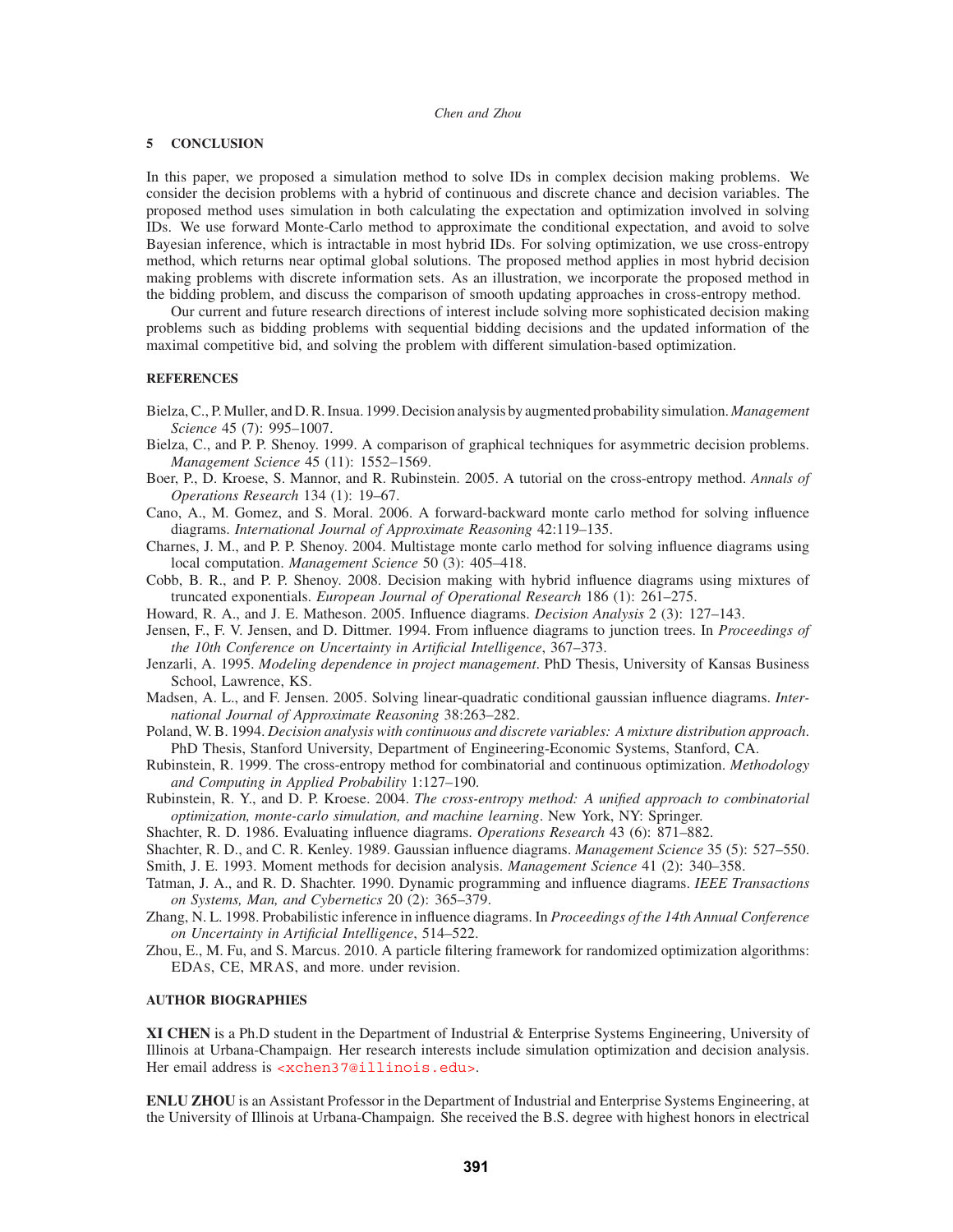## **5 CONCLUSION**

In this paper, we proposed a simulation method to solve IDs in complex decision making problems. We consider the decision problems with a hybrid of continuous and discrete chance and decision variables. The proposed method uses simulation in both calculating the expectation and optimization involved in solving IDs. We use forward Monte-Carlo method to approximate the conditional expectation, and avoid to solve Bayesian inference, which is intractable in most hybrid IDs. For solving optimization, we use cross-entropy method, which returns near optimal global solutions. The proposed method applies in most hybrid decision making problems with discrete information sets. As an illustration, we incorporate the proposed method in the bidding problem, and discuss the comparison of smooth updating approaches in cross-entropy method.

Our current and future research directions of interest include solving more sophisticated decision making problems such as bidding problems with sequential bidding decisions and the updated information of the maximal competitive bid, and solving the problem with different simulation-based optimization.

## **REFERENCES**

- Bielza, C., P. Muller, and D. R. Insua. 1999. Decision analysis by augmented probability simulation. *Management Science* 45 (7): 995–1007.
- Bielza, C., and P. P. Shenoy. 1999. A comparison of graphical techniques for asymmetric decision problems. *Management Science* 45 (11): 1552–1569.
- Boer, P., D. Kroese, S. Mannor, and R. Rubinstein. 2005. A tutorial on the cross-entropy method. *Annals of Operations Research* 134 (1): 19–67.
- Cano, A., M. Gomez, and S. Moral. 2006. A forward-backward monte carlo method for solving influence diagrams. *International Journal of Approximate Reasoning* 42:119–135.
- Charnes, J. M., and P. P. Shenoy. 2004. Multistage monte carlo method for solving influence diagrams using local computation. *Management Science* 50 (3): 405–418.
- Cobb, B. R., and P. P. Shenoy. 2008. Decision making with hybrid influence diagrams using mixtures of truncated exponentials. *European Journal of Operational Research* 186 (1): 261–275.
- Howard, R. A., and J. E. Matheson. 2005. Influence diagrams. *Decision Analysis* 2 (3): 127–143.
- Jensen, F., F. V. Jensen, and D. Dittmer. 1994. From influence diagrams to junction trees. In *Proceedings of the 10th Conference on Uncertainty in Artificial Intelligence*, 367–373.
- Jenzarli, A. 1995. *Modeling dependence in project management*. PhD Thesis, University of Kansas Business School, Lawrence, KS.
- Madsen, A. L., and F. Jensen. 2005. Solving linear-quadratic conditional gaussian influence diagrams. *International Journal of Approximate Reasoning* 38:263–282.
- Poland, W. B. 1994. *Decision analysis with continuous and discrete variables: A mixture distribution approach*. PhD Thesis, Stanford University, Department of Engineering-Economic Systems, Stanford, CA.
- Rubinstein, R. 1999. The cross-entropy method for combinatorial and continuous optimization. *Methodology and Computing in Applied Probability* 1:127–190.
- Rubinstein, R. Y., and D. P. Kroese. 2004. *The cross-entropy method: A unified approach to combinatorial optimization, monte-carlo simulation, and machine learning*. New York, NY: Springer.
- Shachter, R. D. 1986. Evaluating influence diagrams. *Operations Research* 43 (6): 871–882.
- Shachter, R. D., and C. R. Kenley. 1989. Gaussian influence diagrams. *Management Science* 35 (5): 527–550. Smith, J. E. 1993. Moment methods for decision analysis. *Management Science* 41 (2): 340–358.

Tatman, J. A., and R. D. Shachter. 1990. Dynamic programming and influence diagrams. *IEEE Transactions on Systems, Man, and Cybernetics* 20 (2): 365–379.

Zhang, N. L. 1998. Probabilistic inference in influence diagrams. In *Proceedings of the 14th Annual Conference on Uncertainty in Artificial Intelligence*, 514–522.

Zhou, E., M. Fu, and S. Marcus. 2010. A particle filtering framework for randomized optimization algorithms: EDAS, CE, MRAS, and more. under revision.

## **AUTHOR BIOGRAPHIES**

**XI CHEN** is a Ph.D student in the Department of Industrial & Enterprise Systems Engineering, University of Illinois at Urbana-Champaign. Her research interests include simulation optimization and decision analysis. Her email address is <xchen37@illinois.edu>.

**ENLU ZHOU** is an Assistant Professor in the Department of Industrial and Enterprise Systems Engineering, at the University of Illinois at Urbana-Champaign. She received the B.S. degree with highest honors in electrical